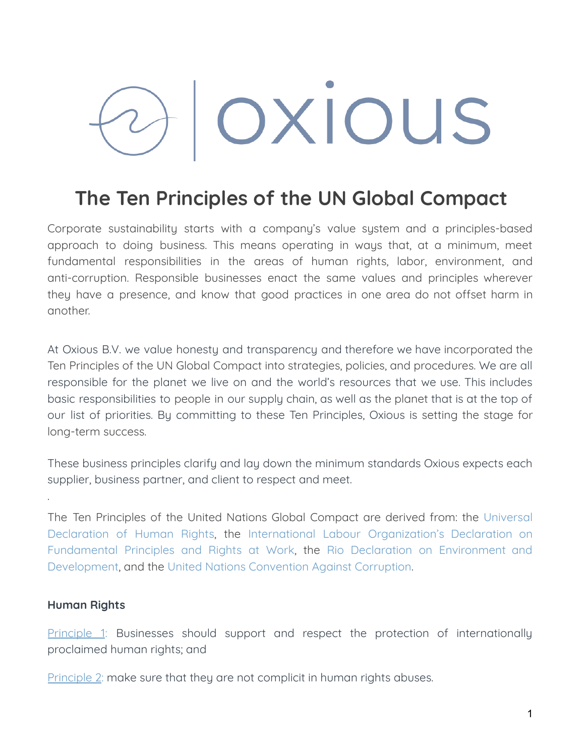# OXIOUS

# **The Ten Principles of the UN Global Compact**

Corporate sustainability starts with a company's value system and a principles-based approach to doing business. This means operating in ways that, at a minimum, meet fundamental responsibilities in the areas of human rights, labor, environment, and anti-corruption. Responsible businesses enact the same values and principles wherever they have a presence, and know that good practices in one area do not offset harm in another.

At Oxious B.V. we value honesty and transparency and therefore we have incorporated the Ten Principles of the UN Global Compact into strategies, policies, and procedures. We are all responsible for the planet we live on and the world's resources that we use. This includes basic responsibilities to people in our supply chain, as well as the planet that is at the top of our list of priorities. By committing to these Ten Principles, Oxious is setting the stage for long-term success.

These business principles clarify and lay down the minimum standards Oxious expects each supplier, business partner, and client to respect and meet.

The Ten Principles of the United Nations Global Compact are derived from: the [Universal](http://www.un.org/Overview/rights.html) [Declaration](http://www.un.org/Overview/rights.html) of Human Rights, the International Labour [Organization's](http://www.ilo.org/declaration/lang--en/index.htm) Declaration on [Fundamental](http://www.ilo.org/declaration/lang--en/index.htm) Principles and Rights at Work, the Rio Declaration on [Environment](https://sustainabledevelopment.un.org/rio20/futurewewant) and [Development](https://sustainabledevelopment.un.org/rio20/futurewewant), and the United Nations [Convention](http://www.unodc.org/unodc/en/treaties/CAC/index.html) Against Corruption.

# **Human Rights**

.

[Principle](https://www.unglobalcompact.org/what-is-gc/mission/principles/principle-1) 1: Businesses should support and respect the protection of internationally proclaimed human rights; and

[Principle](https://www.unglobalcompact.org/what-is-gc/mission/principles/principle-2) 2: make sure that they are not complicit in human rights abuses.